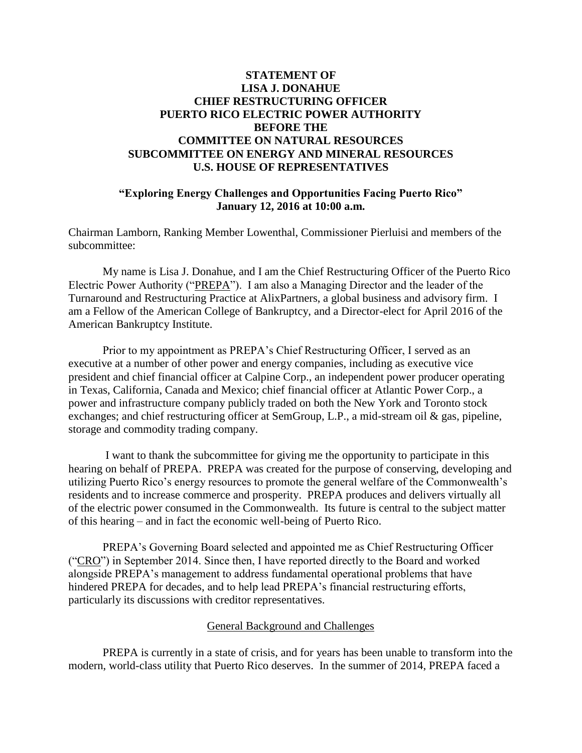# **STATEMENT OF LISA J. DONAHUE CHIEF RESTRUCTURING OFFICER PUERTO RICO ELECTRIC POWER AUTHORITY BEFORE THE COMMITTEE ON NATURAL RESOURCES SUBCOMMITTEE ON ENERGY AND MINERAL RESOURCES U.S. HOUSE OF REPRESENTATIVES**

## **"Exploring Energy Challenges and Opportunities Facing Puerto Rico" January 12, 2016 at 10:00 a.m.**

Chairman Lamborn, Ranking Member Lowenthal, Commissioner Pierluisi and members of the subcommittee:

My name is Lisa J. Donahue, and I am the Chief Restructuring Officer of the Puerto Rico Electric Power Authority ("PREPA"). I am also a Managing Director and the leader of the Turnaround and Restructuring Practice at AlixPartners, a global business and advisory firm. I am a Fellow of the American College of Bankruptcy, and a Director-elect for April 2016 of the American Bankruptcy Institute.

Prior to my appointment as PREPA's Chief Restructuring Officer, I served as an executive at a number of other power and energy companies, including as executive vice president and chief financial officer at Calpine Corp., an independent power producer operating in Texas, California, Canada and Mexico; chief financial officer at Atlantic Power Corp., a power and infrastructure company publicly traded on both the New York and Toronto stock exchanges; and chief restructuring officer at SemGroup, L.P., a mid-stream oil & gas, pipeline, storage and commodity trading company.

I want to thank the subcommittee for giving me the opportunity to participate in this hearing on behalf of PREPA. PREPA was created for the purpose of conserving, developing and utilizing Puerto Rico's energy resources to promote the general welfare of the Commonwealth's residents and to increase commerce and prosperity. PREPA produces and delivers virtually all of the electric power consumed in the Commonwealth. Its future is central to the subject matter of this hearing – and in fact the economic well-being of Puerto Rico.

PREPA's Governing Board selected and appointed me as Chief Restructuring Officer ("CRO") in September 2014. Since then, I have reported directly to the Board and worked alongside PREPA's management to address fundamental operational problems that have hindered PREPA for decades, and to help lead PREPA's financial restructuring efforts, particularly its discussions with creditor representatives.

## General Background and Challenges

PREPA is currently in a state of crisis, and for years has been unable to transform into the modern, world-class utility that Puerto Rico deserves. In the summer of 2014, PREPA faced a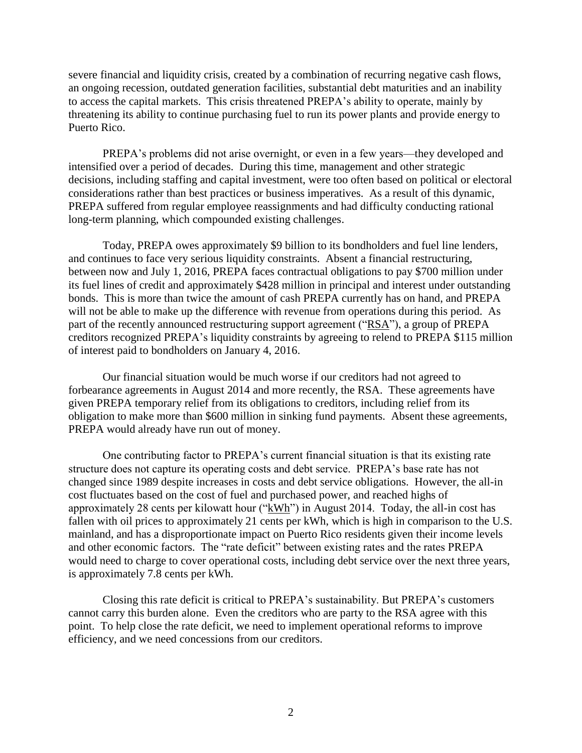severe financial and liquidity crisis, created by a combination of recurring negative cash flows, an ongoing recession, outdated generation facilities, substantial debt maturities and an inability to access the capital markets. This crisis threatened PREPA's ability to operate, mainly by threatening its ability to continue purchasing fuel to run its power plants and provide energy to Puerto Rico.

PREPA's problems did not arise overnight, or even in a few years—they developed and intensified over a period of decades. During this time, management and other strategic decisions, including staffing and capital investment, were too often based on political or electoral considerations rather than best practices or business imperatives. As a result of this dynamic, PREPA suffered from regular employee reassignments and had difficulty conducting rational long-term planning, which compounded existing challenges.

Today, PREPA owes approximately \$9 billion to its bondholders and fuel line lenders, and continues to face very serious liquidity constraints. Absent a financial restructuring, between now and July 1, 2016, PREPA faces contractual obligations to pay \$700 million under its fuel lines of credit and approximately \$428 million in principal and interest under outstanding bonds. This is more than twice the amount of cash PREPA currently has on hand, and PREPA will not be able to make up the difference with revenue from operations during this period. As part of the recently announced restructuring support agreement ("RSA"), a group of PREPA creditors recognized PREPA's liquidity constraints by agreeing to relend to PREPA \$115 million of interest paid to bondholders on January 4, 2016.

Our financial situation would be much worse if our creditors had not agreed to forbearance agreements in August 2014 and more recently, the RSA. These agreements have given PREPA temporary relief from its obligations to creditors, including relief from its obligation to make more than \$600 million in sinking fund payments. Absent these agreements, PREPA would already have run out of money.

One contributing factor to PREPA's current financial situation is that its existing rate structure does not capture its operating costs and debt service. PREPA's base rate has not changed since 1989 despite increases in costs and debt service obligations. However, the all-in cost fluctuates based on the cost of fuel and purchased power, and reached highs of approximately 28 cents per kilowatt hour ("kWh") in August 2014. Today, the all-in cost has fallen with oil prices to approximately 21 cents per kWh, which is high in comparison to the U.S. mainland, and has a disproportionate impact on Puerto Rico residents given their income levels and other economic factors. The "rate deficit" between existing rates and the rates PREPA would need to charge to cover operational costs, including debt service over the next three years, is approximately 7.8 cents per kWh.

Closing this rate deficit is critical to PREPA's sustainability. But PREPA's customers cannot carry this burden alone. Even the creditors who are party to the RSA agree with this point. To help close the rate deficit, we need to implement operational reforms to improve efficiency, and we need concessions from our creditors.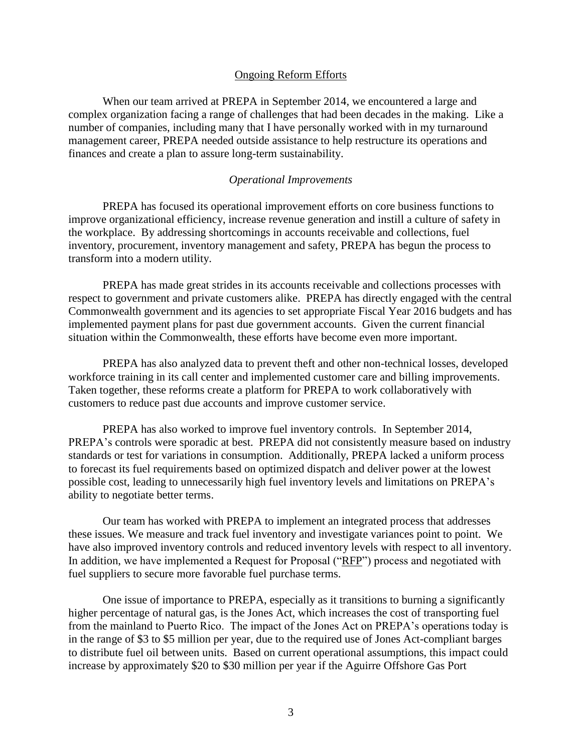#### Ongoing Reform Efforts

When our team arrived at PREPA in September 2014, we encountered a large and complex organization facing a range of challenges that had been decades in the making. Like a number of companies, including many that I have personally worked with in my turnaround management career, PREPA needed outside assistance to help restructure its operations and finances and create a plan to assure long-term sustainability.

#### *Operational Improvements*

PREPA has focused its operational improvement efforts on core business functions to improve organizational efficiency, increase revenue generation and instill a culture of safety in the workplace. By addressing shortcomings in accounts receivable and collections, fuel inventory, procurement, inventory management and safety, PREPA has begun the process to transform into a modern utility.

PREPA has made great strides in its accounts receivable and collections processes with respect to government and private customers alike. PREPA has directly engaged with the central Commonwealth government and its agencies to set appropriate Fiscal Year 2016 budgets and has implemented payment plans for past due government accounts. Given the current financial situation within the Commonwealth, these efforts have become even more important.

PREPA has also analyzed data to prevent theft and other non-technical losses, developed workforce training in its call center and implemented customer care and billing improvements. Taken together, these reforms create a platform for PREPA to work collaboratively with customers to reduce past due accounts and improve customer service.

PREPA has also worked to improve fuel inventory controls. In September 2014, PREPA's controls were sporadic at best. PREPA did not consistently measure based on industry standards or test for variations in consumption. Additionally, PREPA lacked a uniform process to forecast its fuel requirements based on optimized dispatch and deliver power at the lowest possible cost, leading to unnecessarily high fuel inventory levels and limitations on PREPA's ability to negotiate better terms.

Our team has worked with PREPA to implement an integrated process that addresses these issues. We measure and track fuel inventory and investigate variances point to point. We have also improved inventory controls and reduced inventory levels with respect to all inventory. In addition, we have implemented a Request for Proposal ("RFP") process and negotiated with fuel suppliers to secure more favorable fuel purchase terms.

One issue of importance to PREPA, especially as it transitions to burning a significantly higher percentage of natural gas, is the Jones Act, which increases the cost of transporting fuel from the mainland to Puerto Rico. The impact of the Jones Act on PREPA's operations today is in the range of \$3 to \$5 million per year, due to the required use of Jones Act-compliant barges to distribute fuel oil between units. Based on current operational assumptions, this impact could increase by approximately \$20 to \$30 million per year if the Aguirre Offshore Gas Port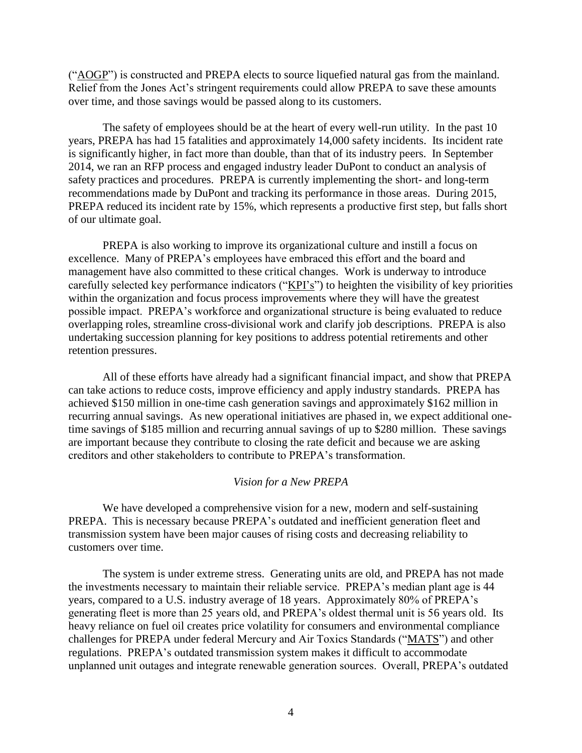("AOGP") is constructed and PREPA elects to source liquefied natural gas from the mainland. Relief from the Jones Act's stringent requirements could allow PREPA to save these amounts over time, and those savings would be passed along to its customers.

The safety of employees should be at the heart of every well-run utility. In the past 10 years, PREPA has had 15 fatalities and approximately 14,000 safety incidents. Its incident rate is significantly higher, in fact more than double, than that of its industry peers. In September 2014, we ran an RFP process and engaged industry leader DuPont to conduct an analysis of safety practices and procedures. PREPA is currently implementing the short- and long-term recommendations made by DuPont and tracking its performance in those areas. During 2015, PREPA reduced its incident rate by 15%, which represents a productive first step, but falls short of our ultimate goal.

PREPA is also working to improve its organizational culture and instill a focus on excellence. Many of PREPA's employees have embraced this effort and the board and management have also committed to these critical changes. Work is underway to introduce carefully selected key performance indicators ("KPI's") to heighten the visibility of key priorities within the organization and focus process improvements where they will have the greatest possible impact. PREPA's workforce and organizational structure is being evaluated to reduce overlapping roles, streamline cross-divisional work and clarify job descriptions. PREPA is also undertaking succession planning for key positions to address potential retirements and other retention pressures.

All of these efforts have already had a significant financial impact, and show that PREPA can take actions to reduce costs, improve efficiency and apply industry standards. PREPA has achieved \$150 million in one-time cash generation savings and approximately \$162 million in recurring annual savings. As new operational initiatives are phased in, we expect additional onetime savings of \$185 million and recurring annual savings of up to \$280 million. These savings are important because they contribute to closing the rate deficit and because we are asking creditors and other stakeholders to contribute to PREPA's transformation.

#### *Vision for a New PREPA*

We have developed a comprehensive vision for a new, modern and self-sustaining PREPA. This is necessary because PREPA's outdated and inefficient generation fleet and transmission system have been major causes of rising costs and decreasing reliability to customers over time.

The system is under extreme stress. Generating units are old, and PREPA has not made the investments necessary to maintain their reliable service. PREPA's median plant age is 44 years, compared to a U.S. industry average of 18 years. Approximately 80% of PREPA's generating fleet is more than 25 years old, and PREPA's oldest thermal unit is 56 years old. Its heavy reliance on fuel oil creates price volatility for consumers and environmental compliance challenges for PREPA under federal Mercury and Air Toxics Standards ("MATS") and other regulations. PREPA's outdated transmission system makes it difficult to accommodate unplanned unit outages and integrate renewable generation sources. Overall, PREPA's outdated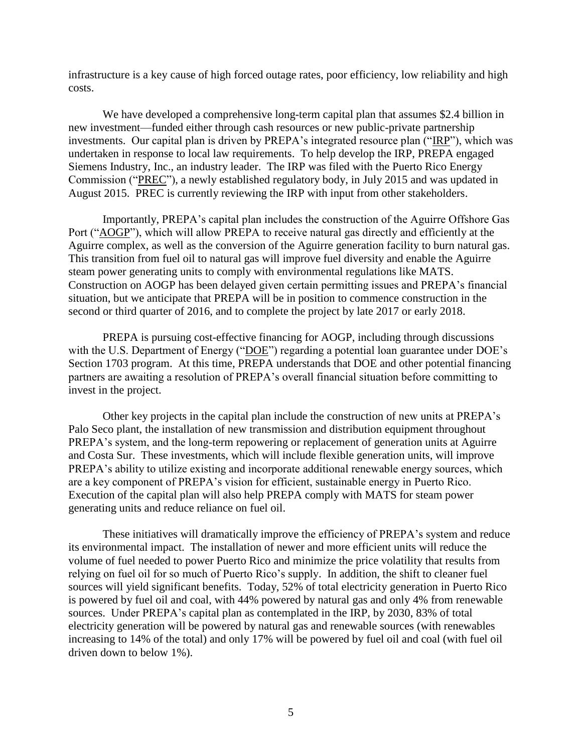infrastructure is a key cause of high forced outage rates, poor efficiency, low reliability and high costs.

We have developed a comprehensive long-term capital plan that assumes \$2.4 billion in new investment—funded either through cash resources or new public-private partnership investments. Our capital plan is driven by PREPA's integrated resource plan ("IRP"), which was undertaken in response to local law requirements. To help develop the IRP, PREPA engaged Siemens Industry, Inc., an industry leader. The IRP was filed with the Puerto Rico Energy Commission ("PREC"), a newly established regulatory body, in July 2015 and was updated in August 2015. PREC is currently reviewing the IRP with input from other stakeholders.

Importantly, PREPA's capital plan includes the construction of the Aguirre Offshore Gas Port ("AOGP"), which will allow PREPA to receive natural gas directly and efficiently at the Aguirre complex, as well as the conversion of the Aguirre generation facility to burn natural gas. This transition from fuel oil to natural gas will improve fuel diversity and enable the Aguirre steam power generating units to comply with environmental regulations like MATS. Construction on AOGP has been delayed given certain permitting issues and PREPA's financial situation, but we anticipate that PREPA will be in position to commence construction in the second or third quarter of 2016, and to complete the project by late 2017 or early 2018.

PREPA is pursuing cost-effective financing for AOGP, including through discussions with the U.S. Department of Energy ("DOE") regarding a potential loan guarantee under DOE's Section 1703 program. At this time, PREPA understands that DOE and other potential financing partners are awaiting a resolution of PREPA's overall financial situation before committing to invest in the project.

Other key projects in the capital plan include the construction of new units at PREPA's Palo Seco plant, the installation of new transmission and distribution equipment throughout PREPA's system, and the long-term repowering or replacement of generation units at Aguirre and Costa Sur. These investments, which will include flexible generation units, will improve PREPA's ability to utilize existing and incorporate additional renewable energy sources, which are a key component of PREPA's vision for efficient, sustainable energy in Puerto Rico. Execution of the capital plan will also help PREPA comply with MATS for steam power generating units and reduce reliance on fuel oil.

These initiatives will dramatically improve the efficiency of PREPA's system and reduce its environmental impact. The installation of newer and more efficient units will reduce the volume of fuel needed to power Puerto Rico and minimize the price volatility that results from relying on fuel oil for so much of Puerto Rico's supply. In addition, the shift to cleaner fuel sources will yield significant benefits. Today, 52% of total electricity generation in Puerto Rico is powered by fuel oil and coal, with 44% powered by natural gas and only 4% from renewable sources. Under PREPA's capital plan as contemplated in the IRP, by 2030, 83% of total electricity generation will be powered by natural gas and renewable sources (with renewables increasing to 14% of the total) and only 17% will be powered by fuel oil and coal (with fuel oil driven down to below 1%).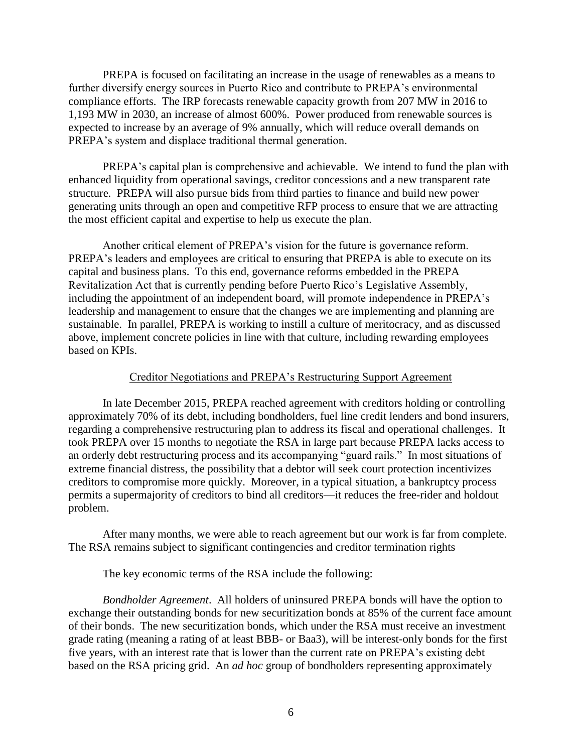PREPA is focused on facilitating an increase in the usage of renewables as a means to further diversify energy sources in Puerto Rico and contribute to PREPA's environmental compliance efforts. The IRP forecasts renewable capacity growth from 207 MW in 2016 to 1,193 MW in 2030, an increase of almost 600%. Power produced from renewable sources is expected to increase by an average of 9% annually, which will reduce overall demands on PREPA's system and displace traditional thermal generation.

PREPA's capital plan is comprehensive and achievable. We intend to fund the plan with enhanced liquidity from operational savings, creditor concessions and a new transparent rate structure. PREPA will also pursue bids from third parties to finance and build new power generating units through an open and competitive RFP process to ensure that we are attracting the most efficient capital and expertise to help us execute the plan.

Another critical element of PREPA's vision for the future is governance reform. PREPA's leaders and employees are critical to ensuring that PREPA is able to execute on its capital and business plans. To this end, governance reforms embedded in the PREPA Revitalization Act that is currently pending before Puerto Rico's Legislative Assembly, including the appointment of an independent board, will promote independence in PREPA's leadership and management to ensure that the changes we are implementing and planning are sustainable. In parallel, PREPA is working to instill a culture of meritocracy, and as discussed above, implement concrete policies in line with that culture, including rewarding employees based on KPIs.

## Creditor Negotiations and PREPA's Restructuring Support Agreement

In late December 2015, PREPA reached agreement with creditors holding or controlling approximately 70% of its debt, including bondholders, fuel line credit lenders and bond insurers, regarding a comprehensive restructuring plan to address its fiscal and operational challenges. It took PREPA over 15 months to negotiate the RSA in large part because PREPA lacks access to an orderly debt restructuring process and its accompanying "guard rails." In most situations of extreme financial distress, the possibility that a debtor will seek court protection incentivizes creditors to compromise more quickly. Moreover, in a typical situation, a bankruptcy process permits a supermajority of creditors to bind all creditors—it reduces the free-rider and holdout problem.

After many months, we were able to reach agreement but our work is far from complete. The RSA remains subject to significant contingencies and creditor termination rights

The key economic terms of the RSA include the following:

*Bondholder Agreement*. All holders of uninsured PREPA bonds will have the option to exchange their outstanding bonds for new securitization bonds at 85% of the current face amount of their bonds. The new securitization bonds, which under the RSA must receive an investment grade rating (meaning a rating of at least BBB- or Baa3), will be interest-only bonds for the first five years, with an interest rate that is lower than the current rate on PREPA's existing debt based on the RSA pricing grid. An *ad hoc* group of bondholders representing approximately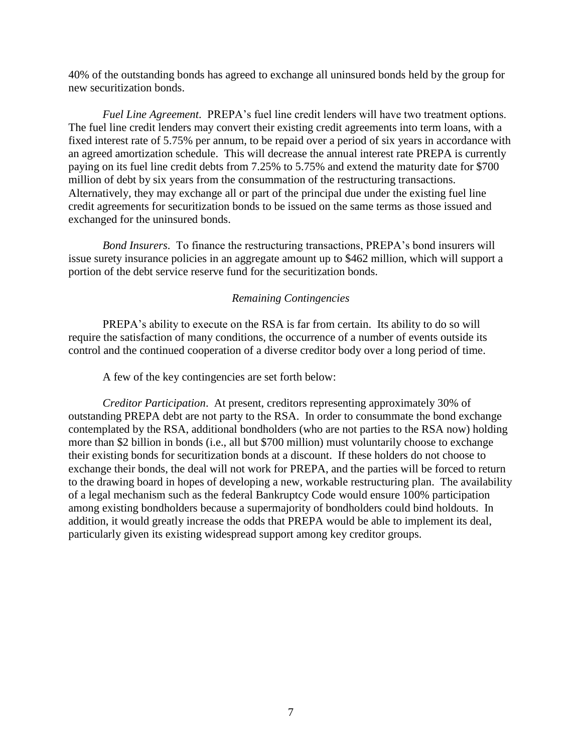40% of the outstanding bonds has agreed to exchange all uninsured bonds held by the group for new securitization bonds.

*Fuel Line Agreement*. PREPA's fuel line credit lenders will have two treatment options. The fuel line credit lenders may convert their existing credit agreements into term loans, with a fixed interest rate of 5.75% per annum, to be repaid over a period of six years in accordance with an agreed amortization schedule. This will decrease the annual interest rate PREPA is currently paying on its fuel line credit debts from 7.25% to 5.75% and extend the maturity date for \$700 million of debt by six years from the consummation of the restructuring transactions. Alternatively, they may exchange all or part of the principal due under the existing fuel line credit agreements for securitization bonds to be issued on the same terms as those issued and exchanged for the uninsured bonds.

*Bond Insurers*. To finance the restructuring transactions, PREPA's bond insurers will issue surety insurance policies in an aggregate amount up to \$462 million, which will support a portion of the debt service reserve fund for the securitization bonds.

## *Remaining Contingencies*

PREPA's ability to execute on the RSA is far from certain. Its ability to do so will require the satisfaction of many conditions, the occurrence of a number of events outside its control and the continued cooperation of a diverse creditor body over a long period of time.

A few of the key contingencies are set forth below:

*Creditor Participation*. At present, creditors representing approximately 30% of outstanding PREPA debt are not party to the RSA. In order to consummate the bond exchange contemplated by the RSA, additional bondholders (who are not parties to the RSA now) holding more than \$2 billion in bonds (i.e., all but \$700 million) must voluntarily choose to exchange their existing bonds for securitization bonds at a discount. If these holders do not choose to exchange their bonds, the deal will not work for PREPA, and the parties will be forced to return to the drawing board in hopes of developing a new, workable restructuring plan. The availability of a legal mechanism such as the federal Bankruptcy Code would ensure 100% participation among existing bondholders because a supermajority of bondholders could bind holdouts. In addition, it would greatly increase the odds that PREPA would be able to implement its deal, particularly given its existing widespread support among key creditor groups.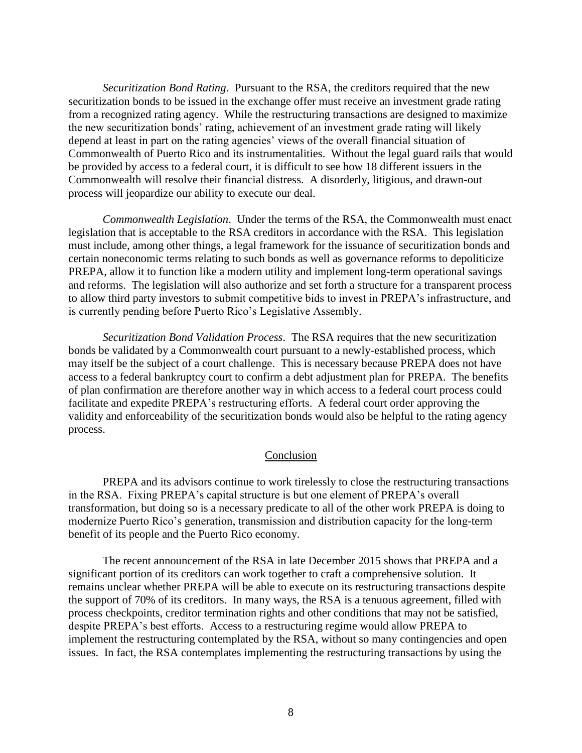*Securitization Bond Rating*. Pursuant to the RSA, the creditors required that the new securitization bonds to be issued in the exchange offer must receive an investment grade rating from a recognized rating agency. While the restructuring transactions are designed to maximize the new securitization bonds' rating, achievement of an investment grade rating will likely depend at least in part on the rating agencies' views of the overall financial situation of Commonwealth of Puerto Rico and its instrumentalities. Without the legal guard rails that would be provided by access to a federal court, it is difficult to see how 18 different issuers in the Commonwealth will resolve their financial distress. A disorderly, litigious, and drawn-out process will jeopardize our ability to execute our deal.

*Commonwealth Legislation*. Under the terms of the RSA, the Commonwealth must enact legislation that is acceptable to the RSA creditors in accordance with the RSA. This legislation must include, among other things, a legal framework for the issuance of securitization bonds and certain noneconomic terms relating to such bonds as well as governance reforms to depoliticize PREPA, allow it to function like a modern utility and implement long-term operational savings and reforms. The legislation will also authorize and set forth a structure for a transparent process to allow third party investors to submit competitive bids to invest in PREPA's infrastructure, and is currently pending before Puerto Rico's Legislative Assembly.

*Securitization Bond Validation Process*. The RSA requires that the new securitization bonds be validated by a Commonwealth court pursuant to a newly-established process, which may itself be the subject of a court challenge. This is necessary because PREPA does not have access to a federal bankruptcy court to confirm a debt adjustment plan for PREPA. The benefits of plan confirmation are therefore another way in which access to a federal court process could facilitate and expedite PREPA's restructuring efforts. A federal court order approving the validity and enforceability of the securitization bonds would also be helpful to the rating agency process.

## Conclusion

PREPA and its advisors continue to work tirelessly to close the restructuring transactions in the RSA. Fixing PREPA's capital structure is but one element of PREPA's overall transformation, but doing so is a necessary predicate to all of the other work PREPA is doing to modernize Puerto Rico's generation, transmission and distribution capacity for the long-term benefit of its people and the Puerto Rico economy.

The recent announcement of the RSA in late December 2015 shows that PREPA and a significant portion of its creditors can work together to craft a comprehensive solution. It remains unclear whether PREPA will be able to execute on its restructuring transactions despite the support of 70% of its creditors. In many ways, the RSA is a tenuous agreement, filled with process checkpoints, creditor termination rights and other conditions that may not be satisfied, despite PREPA's best efforts. Access to a restructuring regime would allow PREPA to implement the restructuring contemplated by the RSA, without so many contingencies and open issues. In fact, the RSA contemplates implementing the restructuring transactions by using the